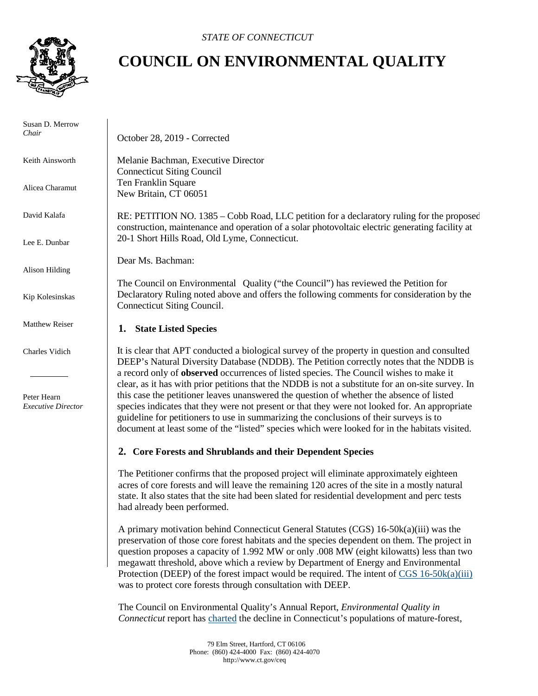

## **COUNCIL ON ENVIRONMENTAL QUALITY**

| Susan D. Merrow<br>Chair                 | October 28, 2019 - Corrected                                                                                                                                                                                                                                                                                                                                                           |
|------------------------------------------|----------------------------------------------------------------------------------------------------------------------------------------------------------------------------------------------------------------------------------------------------------------------------------------------------------------------------------------------------------------------------------------|
| Keith Ainsworth                          | Melanie Bachman, Executive Director<br><b>Connecticut Siting Council</b>                                                                                                                                                                                                                                                                                                               |
| Alicea Charamut                          | Ten Franklin Square<br>New Britain, CT 06051                                                                                                                                                                                                                                                                                                                                           |
| David Kalafa                             | RE: PETITION NO. 1385 – Cobb Road, LLC petition for a declaratory ruling for the proposed<br>construction, maintenance and operation of a solar photovoltaic electric generating facility at                                                                                                                                                                                           |
| Lee E. Dunbar                            | 20-1 Short Hills Road, Old Lyme, Connecticut.                                                                                                                                                                                                                                                                                                                                          |
| Alison Hilding                           | Dear Ms. Bachman:                                                                                                                                                                                                                                                                                                                                                                      |
| Kip Kolesinskas                          | The Council on Environmental Quality ("the Council") has reviewed the Petition for<br>Declaratory Ruling noted above and offers the following comments for consideration by the<br>Connecticut Siting Council.                                                                                                                                                                         |
| <b>Matthew Reiser</b>                    | <b>State Listed Species</b><br>1.                                                                                                                                                                                                                                                                                                                                                      |
| Charles Vidich                           | It is clear that APT conducted a biological survey of the property in question and consulted<br>DEEP's Natural Diversity Database (NDDB). The Petition correctly notes that the NDDB is<br>a record only of observed occurrences of listed species. The Council wishes to make it<br>clear, as it has with prior petitions that the NDDB is not a substitute for an on-site survey. In |
| Peter Hearn<br><b>Executive Director</b> | this case the petitioner leaves unanswered the question of whether the absence of listed<br>species indicates that they were not present or that they were not looked for. An appropriate<br>guideline for petitioners to use in summarizing the conclusions of their surveys is to<br>document at least some of the "listed" species which were looked for in the habitats visited.   |
|                                          | 2. Core Forests and Shrublands and their Dependent Species                                                                                                                                                                                                                                                                                                                             |
|                                          | The Petitioner confirms that the proposed project will eliminate approximately eighteen<br>acres of core forests and will leave the remaining 120 acres of the site in a mostly natural<br>state. It also states that the site had been slated for residential development and perc tests<br>had already been performed.                                                               |
|                                          | A primary motivation behind Connecticut General Statutes (CGS) 16-50k(a)(iii) was the<br>preservation of those core forest habitats and the species dependent on them. The project in                                                                                                                                                                                                  |

was to protect core forests through consultation with DEEP.

question proposes a capacity of 1.992 MW or only .008 MW (eight kilowatts) less than two megawatt threshold, above which a review by Department of Energy and Environmental Protection (DEEP) of the forest impact would be required. The intent of [CGS 16-50k\(a\)\(iii\)](https://www.cga.ct.gov/current/pub/chap_277a.htm#sec_16-50k)

The Council on Environmental Quality's Annual Report, *Environmental Quality in Connecticut* report has [charted](https://www.ct.gov/ceq/cwp/view.asp?a=4992&Q=605290) the decline in Connecticut's populations of mature-forest,